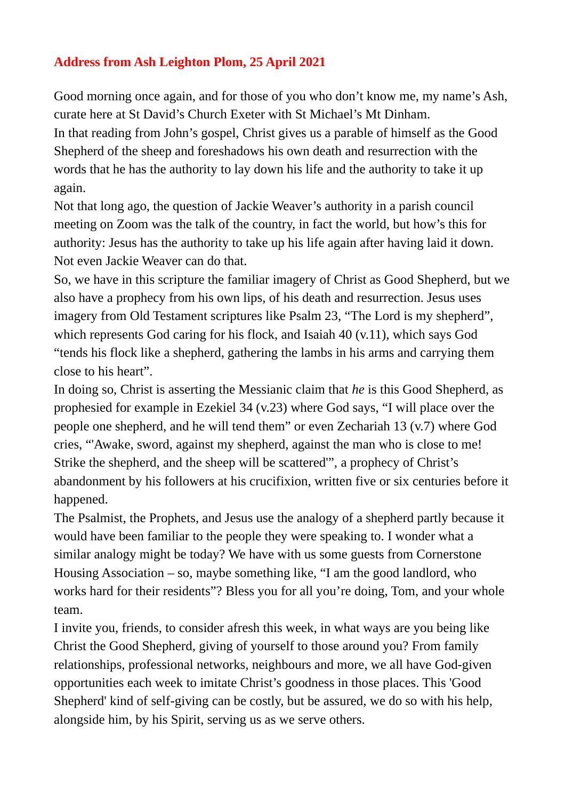## **Address from Ash Leighton Plom, 25 April 2021**

Good morning once again, and for those of you who don't know me, my name's Ash, curate here at St David's Church Exeter with St Michael's Mt Dinham. In that reading from John's gospel, Christ gives us a parable of himself as the Good Shepherd of the sheep and foreshadows his own death and resurrection with the words that he has the authority to lay down his life and the authority to take it up again.

Not that long ago, the question of Jackie Weaver's authority in a parish council meeting on Zoom was the talk of the country, in fact the world, but how's this for authority: Jesus has the authority to take up his life again after having laid it down. Not even Jackie Weaver can do that.

So, we have in this scripture the familiar imagery of Christ as Good Shepherd, but we also have a prophecy from his own lips, of his death and resurrection. Jesus uses imagery from Old Testament scriptures like Psalm 23, "The Lord is my shepherd", which represents God caring for his flock, and Isaiah 40 (v.11), which says God "tends his flock like a shepherd, gathering the lambs in his arms and carrying them close to his heart".

In doing so, Christ is asserting the Messianic claim that *he* is this Good Shepherd, as prophesied for example in Ezekiel 34 (v.23) where God says, "I will place over the people one shepherd, and he will tend them" or even Zechariah 13 (v.7) where God cries, "'Awake, sword, against my shepherd, against the man who is close to me! Strike the shepherd, and the sheep will be scattered'", a prophecy of Christ's abandonment by his followers at his crucifixion, written five or six centuries before it happened.

The Psalmist, the Prophets, and Jesus use the analogy of a shepherd partly because it would have been familiar to the people they were speaking to. I wonder what a similar analogy might be today? We have with us some guests from Cornerstone Housing Association – so, maybe something like, "I am the good landlord, who works hard for their residents"? Bless you for all you're doing, Tom, and your whole team.

I invite you, friends, to consider afresh this week, in what ways are you being like Christ the Good Shepherd, giving of yourself to those around you? From family relationships, professional networks, neighbours and more, we all have God-given opportunities each week to imitate Christ's goodness in those places. This 'Good Shepherd' kind of self-giving can be costly, but be assured, we do so with his help*,*  alongside him, by his Spirit, serving us as we serve others.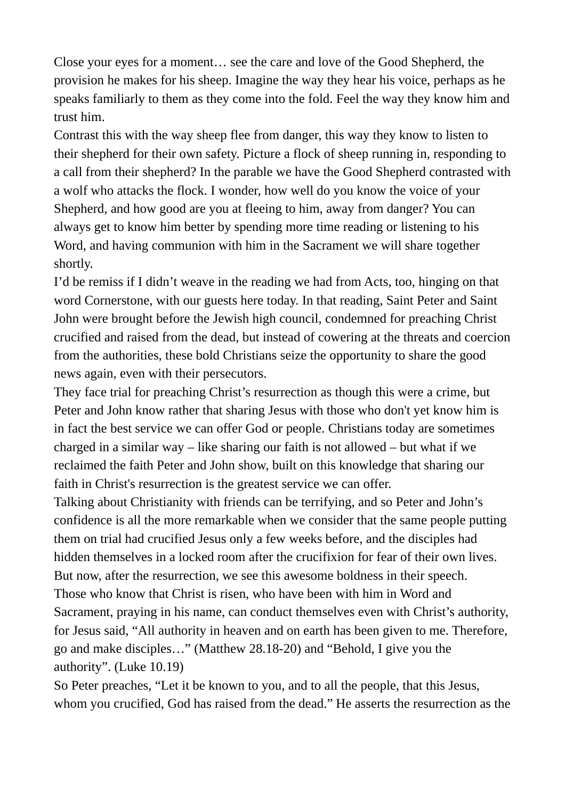Close your eyes for a moment… see the care and love of the Good Shepherd, the provision he makes for his sheep. Imagine the way they hear his voice, perhaps as he speaks familiarly to them as they come into the fold. Feel the way they know him and trust him.

Contrast this with the way sheep flee from danger, this way they know to listen to their shepherd for their own safety. Picture a flock of sheep running in, responding to a call from their shepherd? In the parable we have the Good Shepherd contrasted with a wolf who attacks the flock. I wonder, how well do you know the voice of your Shepherd, and how good are you at fleeing to him, away from danger? You can always get to know him better by spending more time reading or listening to his Word, and having communion with him in the Sacrament we will share together shortly.

I'd be remiss if I didn't weave in the reading we had from Acts, too, hinging on that word Cornerstone, with our guests here today. In that reading, Saint Peter and Saint John were brought before the Jewish high council, condemned for preaching Christ crucified and raised from the dead, but instead of cowering at the threats and coercion from the authorities, these bold Christians seize the opportunity to share the good news again, even with their persecutors.

They face trial for preaching Christ's resurrection as though this were a crime, but Peter and John know rather that sharing Jesus with those who don't yet know him is in fact the best service we can offer God or people. Christians today are sometimes charged in a similar way – like sharing our faith is not allowed – but what if we reclaimed the faith Peter and John show, built on this knowledge that sharing our faith in Christ's resurrection is the greatest service we can offer.

Talking about Christianity with friends can be terrifying, and so Peter and John's confidence is all the more remarkable when we consider that the same people putting them on trial had crucified Jesus only a few weeks before, and the disciples had hidden themselves in a locked room after the crucifixion for fear of their own lives. But now, after the resurrection, we see this awesome boldness in their speech. Those who know that Christ is risen, who have been with him in Word and Sacrament, praying in his name, can conduct themselves even with Christ's authority, for Jesus said, "All authority in heaven and on earth has been given to me. Therefore, go and make disciples…" (Matthew 28.18-20) and "Behold, I give you the authority". (Luke 10.19)

So Peter preaches, "Let it be known to you, and to all the people, that this Jesus, whom you crucified, God has raised from the dead." He asserts the resurrection as the